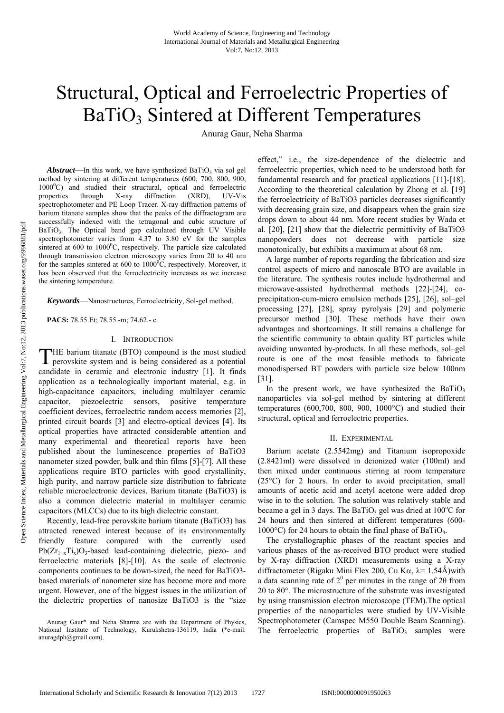# Structural, Optical and Ferroelectric Properties of BaTiO<sub>3</sub> Sintered at Different Temperatures

Anurag Gaur, Neha Sharma

*Abstract*—In this work, we have synthesized BaTiO<sub>3</sub> via sol gel method by sintering at different temperatures (600, 700, 800, 900, 1000<sup>0</sup>C) and studied their structural, optical and ferroelectric properties through X-ray diffraction (XRD), UV-Vis spectrophotometer and PE Loop Tracer. X-ray diffraction patterns of barium titanate samples show that the peaks of the diffractogram are successfully indexed with the tetragonal and cubic structure of  $BaTiO<sub>3</sub>$ . The Optical band gap calculated through UV Visible spectrophotometer varies from 4.37 to 3.80 eV for the samples sintered at 600 to 1000°C, respectively. The particle size calculated through transmission electron microscopy varies from 20 to 40 nm for the samples sintered at 600 to  $1000^{\circ}$ C, respectively. Moreover, it has been observed that the ferroelectricity increases as we increase the sintering temperature.

*Keywords*—Nanostructures, Ferroelectricity, Sol-gel method.

**PACS:** 78.55.Et; 78.55.-m; 74.62.- c.

## I. INTRODUCTION

HE barium titanate (BTO) compound is the most studied THE barium titanate (BTO) compound is the most studied perovskite system and is being considered as a potential candidate in ceramic and electronic industry [1]. It finds application as a technologically important material, e.g. in high-capacitance capacitors, including multilayer ceramic capacitor, piezoelectric sensors, positive temperature coefficient devices, ferroelectric random access memories [2], printed circuit boards [3] and electro-optical devices [4]. Its optical properties have attracted considerable attention and many experimental and theoretical reports have been published about the luminescence properties of BaTiO3 nanometer sized powder, bulk and thin films [5]-[7]. All these applications require BTO particles with good crystallinity, high purity, and narrow particle size distribution to fabricate reliable microelectronic devices. Barium titanate (BaTiO3) is also a common dielectric material in multilayer ceramic capacitors (MLCCs) due to its high dielectric constant.

Recently, lead-free perovskite barium titanate (BaTiO3) has attracted renewed interest because of its environmentally friendly feature compared with the currently used Pb(Zr<sub>1−x</sub>Ti<sub>x</sub>)O<sub>3</sub>-based lead-containing dielectric, piezo- and ferroelectric materials [8]-[10]. As the scale of electronic components continues to be down-sized, the need for BaTiO3 based materials of nanometer size has become more and more urgent. However, one of the biggest issues in the utilization of the dielectric properties of nanosize BaTiO3 is the "size

effect," i.e., the size-dependence of the dielectric and ferroelectric properties, which need to be understood both for fundamental research and for practical applications [11]-[18]. According to the theoretical calculation by Zhong et al. [19] the ferroelectricity of BaTiO3 particles decreases significantly with decreasing grain size, and disappears when the grain size drops down to about 44 nm. More recent studies by Wada et al. [20], [21] show that the dielectric permittivity of BaTiO3 nanopowders does not decrease with particle size monotonically, but exhibits a maximum at about 68 nm.

A large number of reports regarding the fabrication and size control aspects of micro and nanoscale BTO are available in the literature. The synthesis routes include hydrothermal and microwave-assisted hydrothermal methods [22]-[24], coprecipitation-cum-micro emulsion methods [25], [26], sol–gel processing [27], [28], spray pyrolysis [29] and polymeric precursor method [30]. These methods have their own advantages and shortcomings. It still remains a challenge for the scientific community to obtain quality BT particles while avoiding unwanted by-products. In all these methods, sol–gel route is one of the most feasible methods to fabricate monodispersed BT powders with particle size below 100nm [31].

In the present work, we have synthesized the BaTiO<sub>3</sub> nanoparticles via sol-gel method by sintering at different temperatures (600,700, 800, 900, 1000°C) and studied their structural, optical and ferroelectric properties.

## II. EXPERIMENTAL

Barium acetate (2.5542mg) and Titanium isopropoxide (2.8421ml) were dissolved in deionized water (100ml) and then mixed under continuous stirring at room temperature (25°C) for 2 hours. In order to avoid precipitation, small amounts of acetic acid and acetyl acetone were added drop wise in to the solution. The solution was relatively stable and became a gel in 3 days. The BaTiO<sub>3</sub> gel was dried at 100°C for 24 hours and then sintered at different temperatures (600- 1000 $^{\circ}$ C) for 24 hours to obtain the final phase of BaTiO<sub>3</sub>.

The crystallographic phases of the reactant species and various phases of the as-received BTO product were studied by X-ray diffraction (XRD) measurements using a X-ray diffractometer (Rigaku Mini Flex 200, Cu K $\alpha$ ,  $\lambda$ = 1.54Å)with a data scanning rate of  $2^0$  per minutes in the range of  $2\theta$  from 20 to 80°. The microstructure of the substrate was investigated by using transmission electron microscope (TEM).The optical properties of the nanoparticles were studied by UV-Visible Spectrophotometer (Camspec M550 Double Beam Scanning). The ferroelectric properties of  $BaTiO<sub>3</sub>$  samples were

Anurag Gaur\* and Neha Sharma are with the Department of Physics, National Institute of Technology, Kurukshetra-136119, India (\*e-mail: anuragdph@gmail.com).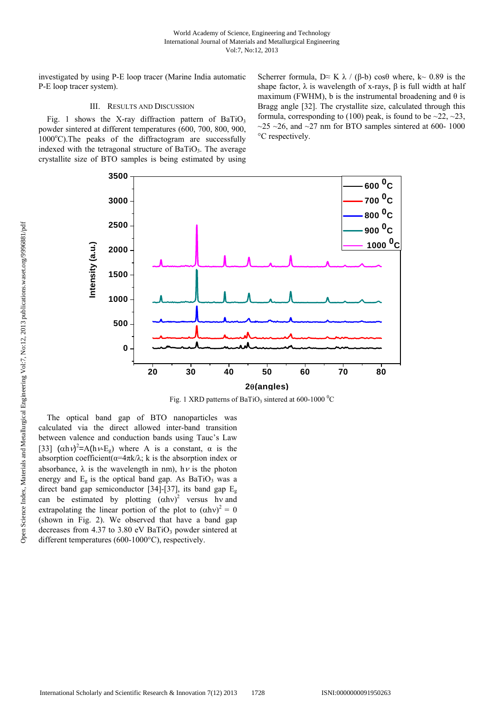investigated by using P-E loop tracer (Marine India automatic P-E loop tracer system).

## III. RESULTS AND DISCUSSION

Fig. 1 shows the X-ray diffraction pattern of BaTiO<sub>3</sub> powder sintered at different temperatures (600, 700, 800, 900, 1000°C). The peaks of the diffractogram are successfully indexed with the tetragonal structure of  $BaTiO<sub>3</sub>$ . The average crystallite size of BTO samples is being estimated by using

Scherrer formula, D $\approx$  K  $\lambda$  / (β-b) cosθ where, k $\sim$  0.89 is the shape factor,  $\lambda$  is wavelength of x-rays,  $\beta$  is full width at half maximum (FWHM), b is the instrumental broadening and  $\theta$  is Bragg angle [32]. The crystallite size, calculated through this formula, corresponding to (100) peak, is found to be  $\sim$ 22,  $\sim$ 23,  $\sim$ 25  $\sim$ 26, and  $\sim$ 27 nm for BTO samples sintered at 600- 1000 °C respectively.



Fig. 1 XRD patterns of BaTiO<sub>3</sub> sintered at 600-1000  $^0$ C

The optical band gap of BTO nanoparticles was calculated via the direct allowed inter-band transition between valence and conduction bands using Tauc's Law [33]  $(\alpha h \nu)^2 = A(h \nu E_g)$  where A is a constant,  $\alpha$  is the absorption coefficient( $\alpha$ =4πk/ $\lambda$ ; k is the absorption index or absorbance,  $\lambda$  is the wavelength in nm),  $h\nu$  is the photon energy and  $E_g$  is the optical band gap. As BaTiO<sub>3</sub> was a direct band gap semiconductor [34]-[37], its band gap  $E_g$ can be estimated by plotting  $(\alpha h v)^2$  versus hv and extrapolating the linear portion of the plot to  $(\alpha h v)^2 = 0$ (shown in Fig. 2). We observed that have a band gap decreases from 4.37 to 3.80 eV BaTiO<sub>3</sub> powder sintered at different temperatures (600-1000°C), respectively.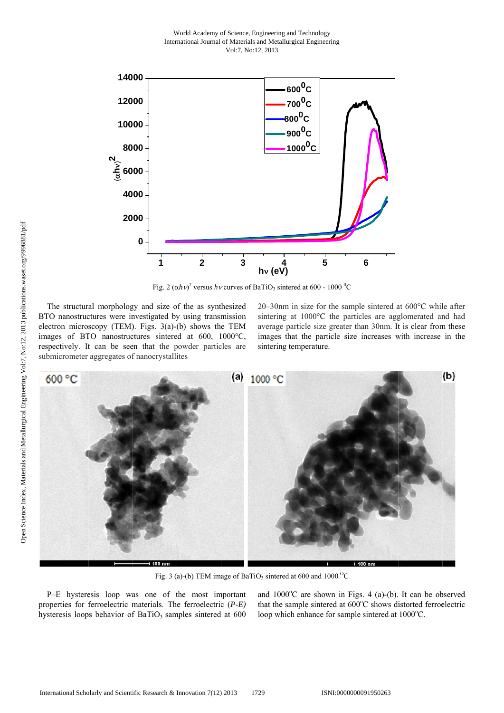World Academy of Science, Engineering and Technology International Journal of Materials and Metallurgical Engineering Vol:7, No:12, 2013



Fig. 2  $(\alpha h v)^2$  versus  $h v$  curves of BaTiO<sub>3</sub> sintered at 600 - 1000 <sup>o</sup>C

The structural morphology and size of the as synthesized BTO nanostructures were investigated by using transmission electron microscopy (TEM). Figs.  $3(a)-(b)$  shows the TEM images of BTO nanostructures sintered at 600, 1000°C, respectively. It can be seen that the powder particles are submicrometer aggregates of nanocrystallites

20–30nm in size for the sample sintered at  $600^{\circ}$ C while after sintering at 1000°C the particles are agglomerated and had average particle size greater than 30nm. It is clear from these images that the particle size increases with increase in the sintering temperature.



Fig. 3 (a)-(b) TEM image of BaTiO<sub>3</sub> sintered at 600 and 1000 <sup>O</sup>C

P-E hysteresis loop was one of the most important properties for ferroelectric materials. The ferroelectric  $(P-E)$ hysteresis loops behavior of BaTiO<sub>3</sub> samples sintered at 600 and  $1000^{\circ}$ C are shown in Figs. 4 (a)-(b). It can be observed that the sample sintered at 600°C shows distorted ferroelectric loop which enhance for sample sintered at 1000°C.